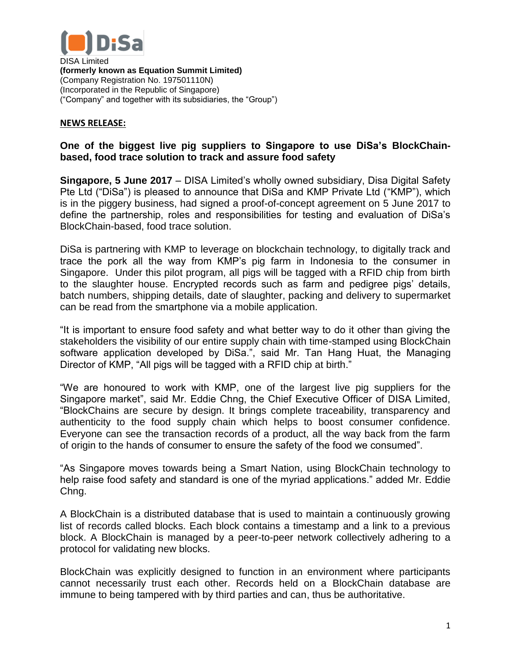

DISA Limited **(formerly known as Equation Summit Limited)** (Company Registration No. 197501110N) (Incorporated in the Republic of Singapore) ("Company" and together with its subsidiaries, the "Group")

## **NEWS RELEASE:**

## **One of the biggest live pig suppliers to Singapore to use DiSa's BlockChainbased, food trace solution to track and assure food safety**

**Singapore, 5 June 2017** – DISA Limited's wholly owned subsidiary, Disa Digital Safety Pte Ltd ("DiSa") is pleased to announce that DiSa and KMP Private Ltd ("KMP"), which is in the piggery business, had signed a proof-of-concept agreement on 5 June 2017 to define the partnership, roles and responsibilities for testing and evaluation of DiSa's BlockChain-based, food trace solution.

DiSa is partnering with KMP to leverage on blockchain technology, to digitally track and trace the pork all the way from KMP's pig farm in Indonesia to the consumer in Singapore. Under this pilot program, all pigs will be tagged with a RFID chip from birth to the slaughter house. Encrypted records such as farm and pedigree pigs' details, batch numbers, shipping details, date of slaughter, packing and delivery to supermarket can be read from the smartphone via a mobile application.

"It is important to ensure food safety and what better way to do it other than giving the stakeholders the visibility of our entire supply chain with time-stamped using BlockChain software application developed by DiSa.", said Mr. Tan Hang Huat, the Managing Director of KMP, "All pigs will be tagged with a RFID chip at birth."

"We are honoured to work with KMP, one of the largest live pig suppliers for the Singapore market", said Mr. Eddie Chng, the Chief Executive Officer of DISA Limited, "BlockChains are secure by design. It brings complete traceability, transparency and authenticity to the food supply chain which helps to boost consumer confidence. Everyone can see the transaction records of a product, all the way back from the farm of origin to the hands of consumer to ensure the safety of the food we consumed".

"As Singapore moves towards being a Smart Nation, using BlockChain technology to help raise food safety and standard is one of the myriad applications." added Mr. Eddie Chng.

A BlockChain is a distributed database that is used to maintain a continuously growing list of records called blocks. Each block contains a timestamp and a link to a previous block. A BlockChain is managed by a peer-to-peer network collectively adhering to a protocol for validating new blocks.

BlockChain was explicitly designed to function in an environment where participants cannot necessarily trust each other. Records held on a BlockChain database are immune to being tampered with by third parties and can, thus be authoritative.